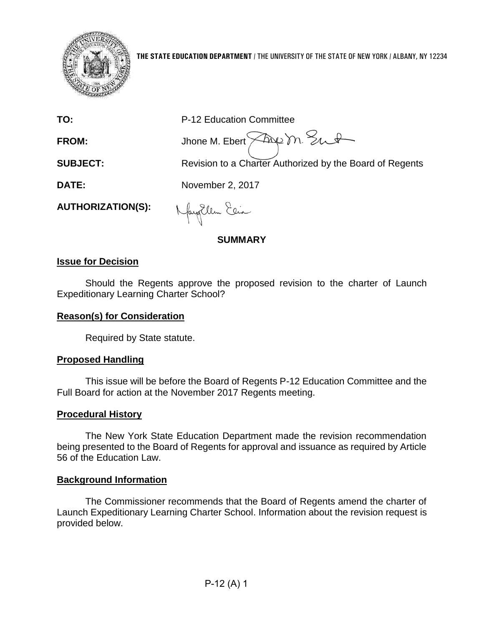

| <b>SUBJECT:</b>          | Jhone M. Ebert $\leftarrow$ M. Sut<br>Revision to a Charter Authorized by the Board of Regents |
|--------------------------|------------------------------------------------------------------------------------------------|
| <b>DATE:</b>             | November 2, 2017                                                                               |
| <b>AUTHORIZATION(S):</b> | MayEllen Elia                                                                                  |
|                          | <b>SUMMARY</b>                                                                                 |

### **Issue for Decision**

Should the Regents approve the proposed revision to the charter of Launch Expeditionary Learning Charter School?

### **Reason(s) for Consideration**

Required by State statute.

### **Proposed Handling**

This issue will be before the Board of Regents P-12 Education Committee and the Full Board for action at the November 2017 Regents meeting.

### **Procedural History**

The New York State Education Department made the revision recommendation being presented to the Board of Regents for approval and issuance as required by Article 56 of the Education Law.

### **Background Information**

The Commissioner recommends that the Board of Regents amend the charter of Launch Expeditionary Learning Charter School. Information about the revision request is provided below.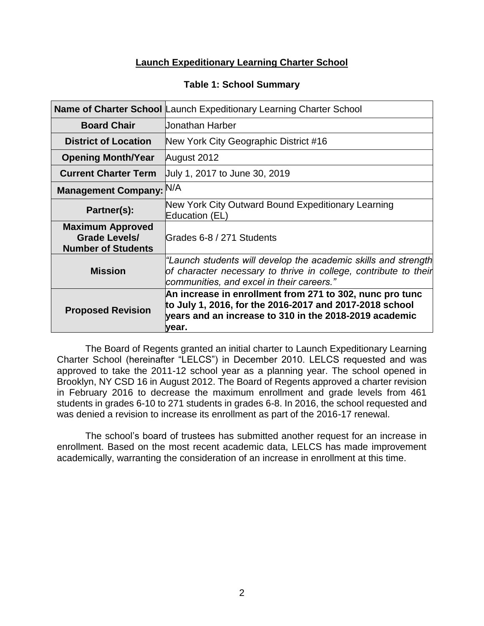# **Launch Expeditionary Learning Charter School**

### **Table 1: School Summary**

|                                                                              | Name of Charter School Launch Expeditionary Learning Charter School                                                                                                                    |
|------------------------------------------------------------------------------|----------------------------------------------------------------------------------------------------------------------------------------------------------------------------------------|
| <b>Board Chair</b>                                                           | Uonathan Harber                                                                                                                                                                        |
| <b>District of Location</b>                                                  | New York City Geographic District #16                                                                                                                                                  |
| <b>Opening Month/Year</b>                                                    | August 2012                                                                                                                                                                            |
| <b>Current Charter Term</b>                                                  | July 1, 2017 to June 30, 2019                                                                                                                                                          |
| <b>Management Company:</b>                                                   | N/A                                                                                                                                                                                    |
| Partner(s):                                                                  | New York City Outward Bound Expeditionary Learning<br>Education (EL)                                                                                                                   |
| <b>Maximum Approved</b><br><b>Grade Levels/</b><br><b>Number of Students</b> | Grades 6-8 / 271 Students                                                                                                                                                              |
| <b>Mission</b>                                                               | "Launch students will develop the academic skills and strength<br>of character necessary to thrive in college, contribute to their<br>communities, and excel in their careers."        |
| <b>Proposed Revision</b>                                                     | An increase in enrollment from 271 to 302, nunc pro tunc<br>to July 1, 2016, for the 2016-2017 and 2017-2018 school<br>years and an increase to 310 in the 2018-2019 academic<br>year. |

The Board of Regents granted an initial charter to Launch Expeditionary Learning Charter School (hereinafter "LELCS") in December 2010. LELCS requested and was approved to take the 2011-12 school year as a planning year. The school opened in Brooklyn, NY CSD 16 in August 2012. The Board of Regents approved a charter revision in February 2016 to decrease the maximum enrollment and grade levels from 461 students in grades 6-10 to 271 students in grades 6-8. In 2016, the school requested and was denied a revision to increase its enrollment as part of the 2016-17 renewal.

The school's board of trustees has submitted another request for an increase in enrollment. Based on the most recent academic data, LELCS has made improvement academically, warranting the consideration of an increase in enrollment at this time.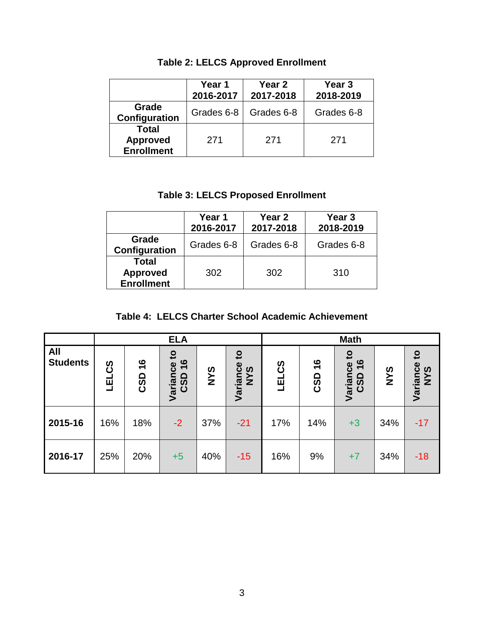|                                                      | Year 1<br>2016-2017 | Year 2<br>2017-2018 | Year <sub>3</sub><br>2018-2019 |  |  |
|------------------------------------------------------|---------------------|---------------------|--------------------------------|--|--|
| Grade<br>Configuration                               | Grades 6-8          | Grades 6-8          | Grades 6-8                     |  |  |
| <b>Total</b><br><b>Approved</b><br><b>Enrollment</b> | 271                 | 271                 | 271                            |  |  |

# **Table 2: LELCS Approved Enrollment**

# **Table 3: LELCS Proposed Enrollment**

|                                               | Year 1<br>2016-2017 | Year 2<br>2017-2018 | Year 3<br>2018-2019 |  |  |
|-----------------------------------------------|---------------------|---------------------|---------------------|--|--|
| Grade<br>Configuration                        | Grades 6-8          | Grades 6-8          | Grades 6-8          |  |  |
| Total<br><b>Approved</b><br><b>Enrollment</b> | 302                 | 302                 | 310                 |  |  |

| Table 4: LELCS Charter School Academic Achievement |
|----------------------------------------------------|
|----------------------------------------------------|

|                               |           | <b>ELA</b>                  |                                                            |            |                                 | <b>Math</b>      |                      |                                                                              |            |                                   |
|-------------------------------|-----------|-----------------------------|------------------------------------------------------------|------------|---------------------------------|------------------|----------------------|------------------------------------------------------------------------------|------------|-----------------------------------|
| <b>All</b><br><b>Students</b> | ပ္ပိ<br>马 | $\frac{6}{1}$<br><b>CSD</b> | $\mathbf{c}$<br>$\frac{6}{1}$<br>Variance<br><b>G</b><br>ပ | <b>SAN</b> | $\mathbf{S}$<br>Variance<br>NYS | EL <sub>CS</sub> | $\frac{6}{1}$<br>CSD | $\mathbf{c}$<br>$\frac{6}{1}$<br>Variance<br><b>G</b><br>$\ddot{\mathbf{C}}$ | <b>SAN</b> | $\mathbf{c}$<br>Variance 1<br>NYS |
| 2015-16                       | 16%       | 18%                         | $-2$                                                       | 37%        | $-21$                           | 17%              | 14%                  | $+3$                                                                         | 34%        | $-17$                             |
| 2016-17                       | 25%       | 20%                         | $+5$                                                       | 40%        | $-15$                           | 16%              | 9%                   | $+7$                                                                         | 34%        | $-18$                             |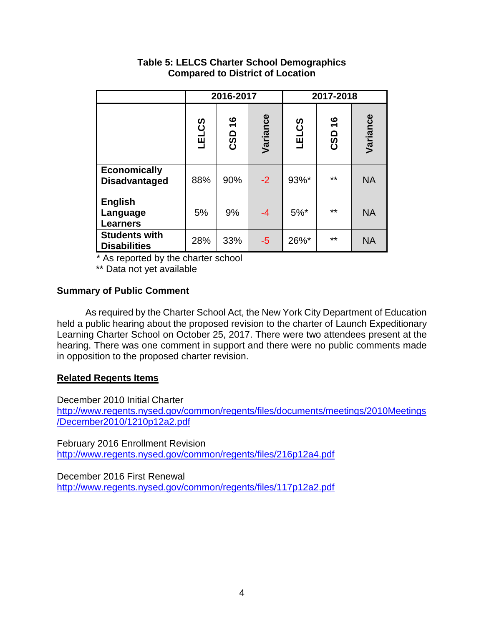|                                               |              | 2016-2017            |          | 2017-2018    |                      |           |  |
|-----------------------------------------------|--------------|----------------------|----------|--------------|----------------------|-----------|--|
|                                               | <b>LELCS</b> | $\frac{6}{1}$<br>CSD | Variance | <b>LELCS</b> | $\frac{6}{1}$<br>CSD | Variance  |  |
| <b>Economically</b><br><b>Disadvantaged</b>   | 88%          | 90%                  | $-2$     | 93%*         | $**$                 | <b>NA</b> |  |
| <b>English</b><br>Language<br><b>Learners</b> | 5%           | 9%                   | $-4$     | $5%$ *       | $***$                | <b>NA</b> |  |
| <b>Students with</b><br><b>Disabilities</b>   | 28%          | 33%                  | $-5$     | 26%*         | $***$                | <b>NA</b> |  |

## **Table 5: LELCS Charter School Demographics Compared to District of Location**

\* As reported by the charter school

\*\* Data not yet available

# **Summary of Public Comment**

As required by the Charter School Act, the New York City Department of Education held a public hearing about the proposed revision to the charter of Launch Expeditionary Learning Charter School on October 25, 2017. There were two attendees present at the hearing. There was one comment in support and there were no public comments made in opposition to the proposed charter revision.

### **Related Regents Items**

December 2010 Initial Charter

[http://www.regents.nysed.gov/common/regents/files/documents/meetings/2010Meetings](http://www.regents.nysed.gov/common/regents/files/documents/meetings/2010Meetings/December2010/1210p12a2.pdf) [/December2010/1210p12a2.pdf](http://www.regents.nysed.gov/common/regents/files/documents/meetings/2010Meetings/December2010/1210p12a2.pdf)

February 2016 Enrollment Revision <http://www.regents.nysed.gov/common/regents/files/216p12a4.pdf>

December 2016 First Renewal <http://www.regents.nysed.gov/common/regents/files/117p12a2.pdf>